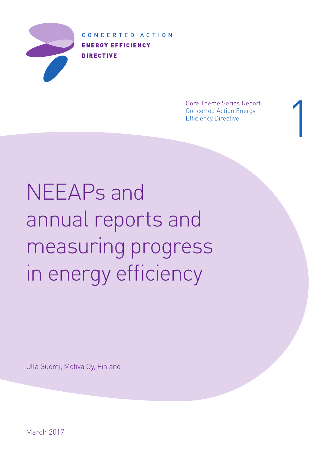

CONCERTED ACTION **ENERGY EFFICIENCY DIRECTIVE** 

> Core Theme Series Report: Concerted Action Energy Efficiency Directive

1

NEEAPs and annual reports and measuring progress in energy efficiency

Ulla Suomi, Motiva Oy, Finland

March 2017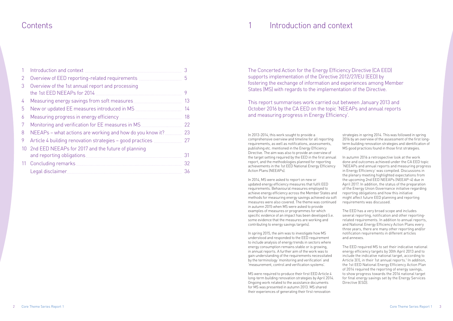# **Contents**

| $\mathbf{1}$ | Introduction and context                                                        |    |
|--------------|---------------------------------------------------------------------------------|----|
| 2            | Overview of EED reporting-related requirements                                  | 5  |
| 3            | Overview of the 1st annual report and processing<br>the 1st EED NEEAPs for 2014 | 9  |
| 4            |                                                                                 | 13 |
| 5            |                                                                                 | 14 |
| 6            |                                                                                 | 18 |
| 7            | Monitoring and verification for EE measures in MS.                              | 22 |
| 8            | NEEAPs - what actions are working and how do you know it?                       | 23 |
| 9            | Article 4 building renovation strategies – good practices                       | 27 |
| 10           | 2nd EED NEEAPs for 2017 and the future of planning                              |    |
|              | and reporting obligations.                                                      | 31 |
|              |                                                                                 | 32 |
|              | Legal disclaimer                                                                | 36 |

In 2013-2014, this work sought to provide a comprehensive overview and timeline for all reporting requirements, as well as notifications, assessments, publishing etc. mentioned in the Energy Efficiency Directive. The aim was also to provide an overview of the target setting required by the EED in the first annual report, and the methodologies planned for reporting achievements in the 1st EED National Energy Efficiency Action Plans (NEEAPs).

In 2014, MS were asked to report on new or updated energy efficiency measures that fulfil EED requirements. Behavioural measures employed to achieve energy efficiency across the Member States and methods for measuring energy savings achieved via soft measures were also covered. The theme was continued in autumn 2015 when MS were asked to provide examples of measures or programmes for which specific evidence of an impact has been developed (i.e. some evidence that the measures are working and contributing to energy savings targets).

In spring 2015, the aim was to investigate how MS understood and responded to the EED requirement to include analysis of energy trends in sectors where energy consumption remains stable or is growing, in annual reports. A further aim of the work was to gain understanding of the requirements necessitated by the terminology 'monitoring and verification' and 'measurement, control and verification systems'.

MS were required to produce their first EED Article 4 long-term building renovation strategies by April 2014. Ongoing work related to the assistance documents for MS was presented in autumn 2013. MS shared their experiences of generating their first renovation

# Introduction and context

strategies in spring 2014. This was followed in spring 2016 by an overview of the assessment of the first longterm building renovation strategies and identification of MS good practices found in those first strategies.

In autumn 2016 a retrospective look at the work done and outcomes achieved under the CA EED topic 'NEEAPs and annual reports and measuring progress in Energy Efficiency' was compiled. Discussions in the plenary meeting highlighted expectations from the upcoming 2nd EED NEEAPs (NEEAP-4) due in April 2017. In addition, the status of the preparation of the Energy Union Governance initiative regarding reporting obligations and how this initiative might affect future EED planning and reporting requirements was discussed.

The EED has a very broad scope and includes several reporting, notification and other reportingrelated requirements. In addition to annual reports, and National Energy Efficiency Action Plans every three years, there are many other reporting and/or notification requirements in different articles and annexes.

The EED required MS to set their indicative national energy efficiency targets by 30th April 2013 and to include the indicative national target, according to Article 3(1), in their 1st annual reports.<sup>1</sup> In addition, the 1st EED National Energy Efficiency Action Plan of 2014 required the reporting of energy savings, to show progress towards the 2016 national target for final energy savings set by the Energy Services Directive (ESD).

### The Concerted Action for the Energy Efficiency Directive (CA EED) supports implementation of the Directive 2012/27/EU (EED) by fostering the exchange of information and experiences among Member States (MS) with regards to the implementation of the Directive.

This report summarises work carried out between January 2013 and October 2016 by the CA EED on the topic 'NEEAPs and annual reports and measuring progress in Energy Efficiency'.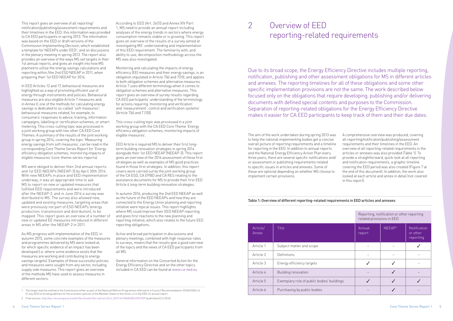This report gives an overview of all reporting/ notification/publishing/assessment requirements and their timelines in the EED; this information was provided to CA EED participants in spring 2013. The information was based on the EED or draft versions of the Commission Implementing Decision, which established a template for NEEAPs under EED<sup>2</sup>, and on discussions in the plenary meeting in spring 2013. The report also provides an overview of the ways MS set targets in their 1st annual reports, and gives an insight into how MS planned to utilise the energy savings calculations and reporting within /the 2nd ESD NEEAP in 2011, when preparing their 1st EED NEEAP for 2014.

In EED Articles 12 and 17, behavioural measures are highlighted as a way of promoting efficient use of energy through instruments and policies. Behavioural measures are also eligible Article 7 measures and, in Annex V, one of the methods for calculating energy savings is dedicated to so-called "soft measures": behavioural measures related, for example, to consumers' responses to advice, training, information campaigns, labelling or certification schemes, or smart metering. This cross-cutting topic was processed in a joint working group with two other CA EED Core Themes: A summary of the results of the joint working group in spring 2014, covering the topic 'Measuring energy savings from soft measures', can be read in the corresponding Core Theme Series Report for 'Energy efficiency obligation schemes, monitoring impacts of eligible measures' [\(core-theme-series-reports](http://www.esd-ca.eu/outcomes/core-theme-series-reports)).

MS were obliged to deliver their 2nd annual reports and 1st EED NEEAPs (NEEAP-3) by April 30th 2014. With new NEEAPs in place and EED implementation underway, it was an appropriate time to ask MS to report on new or updated measures that fulfilled EED requirements and were introduced after the NEEAP-2, and in June 2014 a survey was distributed to MS. The survey also allowed new, updated and existing measures, targeting areas that were previously not part of ESD NEEAPs (energy production, transmission and distribution), to be mapped. This report gives an overview of a number of new or updated EE measures introduced in different areas in MS after the NEEAP-2 in 2011.

As MS progress with implementation of the EED, in autumn 2015, some concrete examples of the measures and programmes delivered by MS were looked at, for which specific evidence of an impact has been developed (i.e. where some evidence exists that the measures are working and contributing to energy savings targets). Examples of these successful policies and measures were sought from any sector, including supply side measures. This report gives an overview of the methods MS have used to assess measures in different sectors.

According to EED (Art. 24(1)) and Annex XIV Part 1, MS need to provide an annual report including analyses of the energy trends in sectors where energy consumption remains stable or is growing. This report gives an overview of the results of a survey aimed at investigating MS' understanding and implementation of this EED requirement. The familiarity with, and ability to use, decomposition methodology across the MS was also investigated.

Monitoring and calculating the impacts of energy efficiency (EE) measures and their energy savings, is an obligation stipulated in Article 7(6) and 7(10), and applies to both obligation schemes and alternative measures. Article 7 uses different terminology when it comes to obligation schemes and alternative measures. This report gives an overview of survey results regarding CA EED participants' understanding of the terminology for actions requiring 'monitoring and verification' and 'measurement', control and verification systems' (Article 7(6) and 7 (10)).

This cross-cutting topic was processed in a joint working group with the CA EED Core Theme 'Energy efficiency obligation schemes, monitoring impacts of eligible measures'.

EED Article 4 required MS to deliver their first longterm building renovation strategies in spring 2014 alongside their 1st EED NEEAP (NEEAP-3). This report gives an overview of the 2016 assessment of these first strategies as well as examples of MS good practices found in those first strategies. In addition, this report covers work carried out by the joint working group of the CA ESD, CA EPBD and CA RES relating to the assistance documents for MS to provide their first EED Article 4 long-term building renovation strategies.

In autumn 2016, producing the 2nd EED NEEAP as well as the future of the EED NEEAPs and how they are connected to the Energy Union planning and reporting initiative were topical issues. This report highlights where MS could improve their EED NEEAP reporting and gives first reactions to the new planning and reporting initiative, which also relates to the future EED reporting obligations.

Active and broad participation in discussions and plenary meetings, combined with high response rates to surveys, means that the results give a good overview of the topics and the views of CA EED participants from all MS.

General information on the Concerted Action for the Energy Efficiency Directive and on the other topics included in CA EED can be found at [www.ca-eed.eu](http://www.esd-ca.eu/)

1 The target shall be notified to the Commission either as part of the National Reform Programme referred to in Council Recommendation 2010/410/EU of

Overview of EED reporting-related requirements 2

Due to its broad scope, the Energy Efficiency Directive includes multiple reporting, notification, publishing and other assessment obligations for MS in different articles and annexes. The reporting timelines for all of these obligations and some other specific implementation provisions are not the same. The work described below focused only on the obligations that require developing, publishing and/or delivering documents with defined special contents and purposes to the Commission. Separation of reporting-related obligations for the Energy Efficiency Directive makes it easier for CA EED participants to keep track of them and their due dates.

The aim of the work undertaken during spring 2013 was to help the national implementing bodies get a concise overall picture of reporting requirements and a timeline for reporting in the EED. In addition to annual reports and the National Energy Efficiency Action Plan every three years, there are several specific notifications and/ or assessment or publishing requirements related to specific issues in articles and annexes. Some of these are optional depending on whether MS choose to implement certain provisions.

A comprehensive overview was produced, covering all reporting/notification/publishing/assessment requirements and their timelines in the EED. An overview of all reporting-related requirements in the articles or annexes was also provided (Table 1). To provide a straightforward, quick look at all reporting and notification requirements, a graphic timeline covering the EED period was also created (Figure 7 at the end of this document). In addition, the work also looked at each article and annex in detail (not covered in this report).

| Article/<br>Annex | Title                                      | Annual<br>report | NEEAP <sup>3</sup> | Notifica<br>or othe<br>reporti |
|-------------------|--------------------------------------------|------------------|--------------------|--------------------------------|
| Article 1         | Subject matter and scope                   |                  |                    |                                |
| Article 2         | Definitions                                |                  |                    |                                |
| Article 3         | Energy efficiency targets                  |                  |                    |                                |
| Article 4         | Building renovation                        |                  |                    |                                |
| Article 5         | Exemplary role of public bodies' buildings |                  |                    |                                |
| Article 6         | Purchasing by public bodies                |                  |                    |                                |

### Table 1: Overview of different reporting-related requirements in EED articles and annexesReporting, notification or other reporting related provisions in EED NEEAP<sup>3</sup> Notification Annual Article/ Annex report or other reporting Article 1  $\begin{array}{|c|c|c|c|c|c|}\n\hline\n\end{array}$  Subject matter and scope  $\begin{array}{|c|c|c|c|c|}\n\hline\n\end{array}$   $\begin{array}{|c|c|c|c|c|}\n\hline\n\end{array}$ Article 2 Definitions – – – Article 3 Energy efficiency targets Article 3 3 Section 1 Section 1 Section 2  $\sim$  3  $\sim$  3  $\sim$  3  $\sim$  3  $\sim$ Article 4 Building renovation – 3 –

<sup>13</sup> July 2010 on broad guidelines for the economic policies of the Member States of the Union, or in the EED 1st annual report.

<sup>2</sup> Final version: <http://eur-lex.europa.eu/LexUriServ/LexUriServ.do?uri=OJ:L:2013:141:0048:0053:EN:PDF> (published 22.5.2014)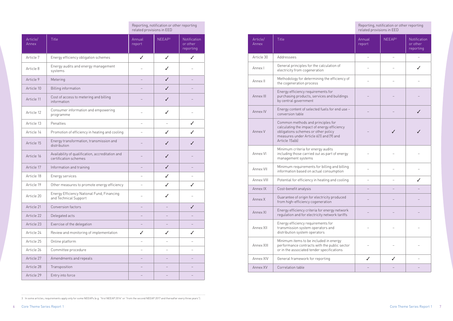| Article/<br>Annex | Title                                                                     | Annual<br>report | NEEAP <sup>3</sup> | Notification<br>or other<br>reporting |
|-------------------|---------------------------------------------------------------------------|------------------|--------------------|---------------------------------------|
| Article 7         | Energy efficiency obligation schemes                                      | $\checkmark$     | $\checkmark$       | $\checkmark$                          |
| Article 8         | Energy audits and energy management<br>systems                            |                  |                    |                                       |
| Article 9         | Metering                                                                  |                  | $\checkmark$       |                                       |
| Article 10        | <b>Billing information</b>                                                |                  | $\checkmark$       |                                       |
| Article 11        | Cost of access to metering and billing<br>information                     |                  |                    |                                       |
| Article 12        | Consumer information and empowering<br>programme                          |                  | ✓                  |                                       |
| Article 13        | Penalties                                                                 |                  |                    | J                                     |
| Article 14        | Promotion of efficiency in heating and cooling                            |                  | J                  |                                       |
| Article 15        | Energy transformation, transmission and<br>distribution                   |                  | J                  |                                       |
| Article 16        | Availability of qualification, accreditation and<br>certification schemes |                  | $\checkmark$       |                                       |
| Article 17        | Information and training                                                  |                  | $\checkmark$       |                                       |
| Article 18        | Energy services                                                           |                  | ✓                  |                                       |
| Article 19        | Other measures to promote energy efficiency                               |                  | $\checkmark$       | J                                     |
| Article 20        | Energy Efficiency National Fund, Financing<br>and Technical Support       |                  |                    |                                       |
| Article 21        | Conversion factors                                                        |                  |                    |                                       |
| Article 22        | Delegated acts                                                            |                  |                    |                                       |
| Article 23        | Exercise of the delegation                                                |                  |                    |                                       |
| Article 24        | Review and monitoring of implementation                                   | J                | $\checkmark$       | J                                     |
| Article 25        | Online platform                                                           |                  |                    |                                       |
| Article 26        | Committee procedure                                                       |                  |                    |                                       |
| Article 27        | Amendments and repeals                                                    |                  |                    |                                       |
| Article 28        | Transposition                                                             |                  |                    |                                       |
| Article 29        | Entry into force                                                          |                  |                    |                                       |

Reporting, notification or other reporting related provisions in EED

3 In some articles, requirements apply only for some NEEAPs (e.g. "first NEEAP 2014" or "from the second NEEAP 2017 and thereafter every three years").

|                   |                                                                                                                                                                                      | related provisions in EED | Reporting, notification or other reporting |                                       |
|-------------------|--------------------------------------------------------------------------------------------------------------------------------------------------------------------------------------|---------------------------|--------------------------------------------|---------------------------------------|
| Article/<br>Annex | <b>Title</b>                                                                                                                                                                         | Annual<br>report          | NEEAP <sup>3</sup>                         | Notification<br>or other<br>reporting |
| Article 30        | Addressees                                                                                                                                                                           |                           |                                            |                                       |
| Annex I           | General principles for the calculation of<br>electricity from cogeneration                                                                                                           |                           |                                            |                                       |
| Annex II          | Methodology for determining the efficiency of<br>the cogeneration process                                                                                                            |                           |                                            |                                       |
| Annex III         | Energy efficiency requirements for<br>purchasing products, services and buildings<br>by central government                                                                           |                           |                                            |                                       |
| Annex IV          | Energy content of selected fuels for end use -<br>conversion table                                                                                                                   |                           |                                            | J                                     |
| Annex V           | Common methods and principles for<br>calculating the impact of energy efficiency<br>obligations schemes or other policy<br>measures under Article 6(1) and (9) and<br>Article 15a(6) |                           |                                            |                                       |
| Annex VI          | Minimum criteria for energy audits<br>including those carried out as part of energy<br>management systems                                                                            |                           |                                            |                                       |
| Annex VII         | Minimum requirements for billing and billing<br>information based on actual consumption                                                                                              |                           |                                            |                                       |
| Annex VIII        | Potential for efficiency in heating and cooling                                                                                                                                      |                           |                                            | ℐ                                     |
| Annex IX          | Cost-benefit analysis                                                                                                                                                                |                           |                                            |                                       |
| Annex X           | Guarantee of origin for electricity produced<br>from high-efficiency cogeneration                                                                                                    |                           |                                            |                                       |
| Annex XI          | Energy efficiency criteria for energy network<br>regulation and for electricity network tariffs                                                                                      |                           |                                            |                                       |
| Annex XII         | Energy efficiency requirements for<br>transmission system operators and<br>distribution system operators                                                                             |                           |                                            |                                       |
| Annex XIII        | Minimum items to be included in energy<br>performance contracts with the public sector<br>or in the associated tender specifications                                                 |                           |                                            |                                       |
| Annex XIV         | General framework for reporting                                                                                                                                                      |                           |                                            |                                       |
| Annex XV          | Correlation table                                                                                                                                                                    |                           |                                            |                                       |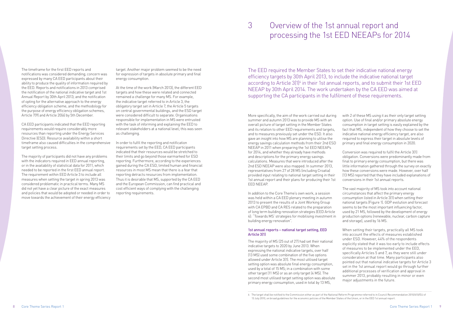The timeframe for the first EED reports and notifications was considered demanding; concern was expressed by many CA EED participants about their ability to produce the quality of information required by the EED. Reports and notifications in 2013 comprised the notification of the national indicative target and 1st Annual Report by 30th April 2013; and the notification of opting for the alternative approach to the energy efficiency obligation scheme, and the methodology for the purpose of energy efficiency obligation schemes, Article 7(9) and Article 20(6) by 5th December.

CA EED participants indicated that the EED reporting requirements would require considerably more resources than reporting under the Energy Services Directive (ESD). Resource availability within a short timeframe also caused difficulties in the comprehensive target setting process.

The majority of participants did not have any problems with the indicators required in EED annual reporting, or in the availability of statistical data for 2011, which needed to be reported in the first EED annual report. The requirement within EED Article 3 to include all measures when setting the target in spring 2013 was considered problematic in practical terms. Many MS did not yet have a clear picture of the exact measures and policies that would be adopted or needed in order to move towards the achievement of their energy efficiency

target. Another major problem seemed to be the need for expression of targets in absolute primary and final energy consumption.

At the time of the work (March 2013), the different EED targets and how these were related and connected remained a challenge for many MS. For example, the indicative target referred to in Article 3, the obligatory target set in Article 7, the Article 5 targets on central governmental buildings, and the ESD target were considered difficult to separate. Organisations responsible for implementation in MS were entrusted with the task of informing and explaining the EED to relevant stakeholders at a national level; this was seen as challenging.

In order to fulfil the reporting and notification requirements set by the EED, CA EED participants indicated that their resources would be stretched to their limits and go beyond those earmarked for ESD reporting. Furthermore, according to the experiences gained during the CA ESD, limited human and financial resources in most MS mean that there is a fear that reporting detracts resources from implementation. Thus it is desirable that MS, supported by the CA EED and the European Commission, can find practical and cost efficient ways of complying with the challenging reporting requirements.

with 2 of these MS using it as their only target setting option. Use of final and/or primary absolute energy consumption in target setting is easily explained by the fact that MS, independent of how they choose to set the indicative national energy efficiency target, are also required to express their target in absolute levels of primary and final energy consumption in 2020.

# Overview of the 1st annual report and processing the 1st EED NEEAPs for 2014

3

The EED required the Member States to set their indicative national energy efficiency targets by 30th April 2013, to include the indicative national target according to Article 3(1)<sup>4</sup> in their 1st annual reports, and to submit their 1st EED NEEAP by 30th April 2014. The work undertaken by the CA EED was aimed at supporting the CA participants in the fulfilment of these requirements.

More specifically, the aim of the work carried out during summer and autumn 2013 was to provide MS with an overall picture of target setting in the Member States and its relation to other EED requirements and targets, and to measures previously set under the ESD. It also gave an insight into how MS are planning to utilise the energy savings calculation methods from their 2nd ESD NEEAP in 2011 when preparing the 1st EED NEEAPs for 2014, and whether they already have methods and descriptions for the primary energy savings calculations. Measures that were introduced after the 2nd ESD NEEAP were also mapped. In summer 2013, representatives from 27 of 28 MS (including Croatia) provided input relating to national target setting in their 1st annual report and their plans for producing their 1st EED NEEAP.

In addition to the Core Theme's own work, a session was held within a CA EED plenary meeting in autumn 2013 to present the results of a Joint Working Group with CA EPBD and CA RES related to the preparation of long term building renovation strategies (EED Article 4): "Towards MS' strategies for mobilising investment in building energy renovation".

### 1st annual reports – national target setting, EED Article 3(1)

The majority of MS (25 out of 27) had set their national indicative targets to 2020 by June 2013. When expressing the national indicative targets, over half (13 MS) used some combination of the five options allowed under Article 3(1). The most utilised target setting option was absolute final energy consumption, used by a total of 15 MS; in a combination with some other target (11 MS) or as an only target (4 MS). The second most utilised target setting option was absolute primary energy consumption, used in total by 13 MS,

Conversion was required to fulfil the Article 3(1) obligation. Conversions were predominantly made from final to primary energy consumption, but there was little information gathered through the survey on exactly how these conversions were made. However, over half (13 MS) reported that they have included explanations of conversions in their 1st annual reports.

The vast majority of MS took into account national circumstances that affect the primary energy consumption listed in Article 3(1) when setting their national targets (Figure 1). GDP evolution and forecast seems to be the most important influencing factor, used by 21 MS, followed by the development of energy production options (renewable, nuclear, carbon capture and storage), used by 16 MS.

When setting their targets, practically all MS took into account the effects of measures established under ESD. However, 44% of the respondents explicitly stated that it was too early to include effects of measures to be implemented under the EED, specifically Articles 5 and 7, as they were still under consideration at that time. Many participants also pointed out that national indicative targets for Article 3 set in the 1st annual report would go through further additional processes of verification and approval in summer 2013, probably resulting in minor or even major adjustments in the future.

4 The target shall be notified to the Commission either as part of the National Reform Programme referred to in Council Recommendation 2010/410/EU of 13 July 2010, on broad guidelines for the economic policies of the Member States of the Union, or in the EED 1st annual report.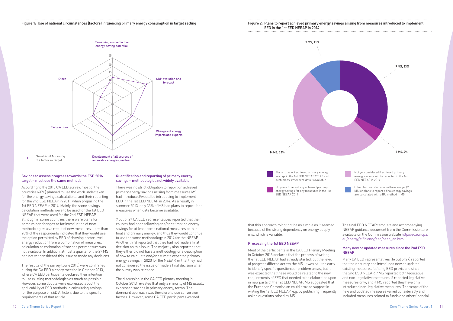### Figure 1: Use of national circumstances (factors) influencing primary energy consumption in target setting



### 15 Savings to assess progress towards the ESD 2016 target – most use the same methods

for the 2nd ESD NEEAP in 2011, when preparing the countries (60%) planned to use the work undertaken According to the 2013 CA EED survey, most of the for the energy savings calculations, and their reporting 1st EED NEEAP in 2014. Mainly, the same savings calculation methods were to be used for the 1st EED NEEAP that were used for the 2nd ESD NEEAP, although in some countries there were plans for some minor changes or for introduction of new methodologies as a result of new measures. Less than 20% of the respondents indicated that they would use the option permitted by EED of showing sector level energy reduction from a combination of measures, if calculation or estimation of savings per measure was not available. In addition, almost a quarter of the 27 MS had not yet considered this issue or made any decisions.

The results of the survey (June 2013) were confirmed during the CA EED plenary meeting in October 2013, where CA EED participants declared their intention to use existing methodologies as much as possible. However, some doubts were expressed about the applicability of ESD methods in calculating savings for the purpose of EED Article 7, due to the specific requirements of that article.

### Quantification and reporting of primary energy savings – methodologies not widely available

There was no strict obligation to report on achieved primary energy savings arising from measures MS had introduced/would be introducing to implement EED in the 1st EED NEEAP in 2014. As a result, in summer 2013, only 33% of MS had plans to report for all measures when data became available.

9 out of 27 CA EED representatives reported that their country had been following and/or estimating energy savings for at least some national measures both in final and primary energy, and thus they would continue to use the same methodology in 2014 for the NEEAP. Another third reported that they had not made a final decision on this issue. The majority also reported that they either did not have a methodology or a description of how to calculate and/or estimate expected primary energy savings in 2020 for the NEEAP, or that they had not considered the issue or made a final decision when the survey was released.

The discussion in the CA EED plenary meeting in October 2013 revealed that only a minority of MS usually expressed savings in primary energy terms. The dominant approach was therefore to use conversion factors. However, some CA EED participants warned

# Figure 2: Plans to report achieved primary energy savings arising from measures introduced to implement

EED in the 1st EED NEEAP in 2014

3 MS, 11%

Plans to report achieved primary energy savings in the 1st EED NEEAP 2014 for all such measures where data is available No plans to report any achieved primary energy savings for any measures in the 1st



EED NEEAP 2014

energy savings will be reported in the 1st EED NEEAP in 2014



Other: No final decision on the issue yet (2 MS) or plans to report if final energy savings are calculated with a BU method (1 MS)

that this approach might not be as simple as it seemed because of the strong dependency on energy supply mix, which is variable.

### Processing the 1st EED NEEAP

Most of the participants in the CA EED Plenary Meeting in October 2013 declared that the process of writing the 1st EED NEEAP had already started, but the level of progress differed across the MS. It was still too early to identify specific questions or problem areas, but it was expected that these would be related to the new requirements of EED that needed to be elaborated upon in new parts of the 1st EED NEEAP. MS suggested that the European Commission could provide support in writing the 1st EED NEEAP, e.g. by publishing frequently asked questions raised by MS. NEEAP Many CA EED representatives (16 out of 27) reported that their country had introduced new or updated existing measures fulfilling EED provisions since the 2nd ESD NEEAP. 7 MS reported both legislative and non-legislative measures; 5 reported legislative measures only; and 4 MS reported they have only introduced non-legislative measures. The scope of the new and updated measures varied considerably and included measures related to funds and other financial

The final EED NEEAP template and accompanying NEEAP guidance document from the Commission are available on the Commission website [http://ec.europa.](http://ec.europa.eu/energy/efficiency/eed/neep_en.htm) [eu/energy/efficiency/eed/neep\\_en.htm](http://ec.europa.eu/energy/efficiency/eed/neep_en.htm)

# Many new or updated measures since the 2nd ESD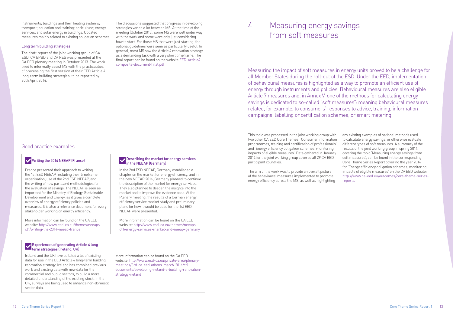This topic was processed in the joint working group with two other CA EED Core Themes: 'Consumer information programmes, training and certification of professionals' and 'Energy efficiency obligation schemes, monitoring impacts of eligible measures'. Data gathered in January 2014 for the joint working group covered all 29 CA EED participant countries.

The aim of the work was to provide an overall picture of the behavioural measures implemented to promote energy efficiency across the MS, as well as highlighting

any existing examples of national methods used to calculate energy savings, or otherwise evaluate different types of soft measures. A summary of the results of the joint working group in spring 2014, covering the topic 'Measuring energy savings from soft measures', can be found in the corresponding Core Theme Series Report covering the year 2014 for 'Energy efficiency obligation schemes, monitoring impacts of eligible measures' on the CA EED website: [http://www.ca-eed.eu/outcomes/core-theme-series](http://www.ca-eed.eu/outcomes/core-theme-series-reports)[reports](http://www.ca-eed.eu/outcomes/core-theme-series-reports)

Measuring the impact of soft measures in energy units proved to be a challenge for all Member States during the roll-out of the ESD. Under the EED, implementation of behavioural measures is highlighted as a way to promote an efficient use of energy through instruments and policies. Behavioural measures are also eligible Article 7 measures and, in Annex V, one of the methods for calculating energy savings is dedicated to so-called "soft measures": meaning behavioural measures related, for example, to consumers' responses to advice, training, information campaigns, labelling or certification schemes, or smart metering.

instruments; buildings and their heating systems; The discussions suggested that progress in developing<br>transport; education and training; agriculture; energy strategies varied a lot between MS. At the time of the The discussions suggested that progress in developing meeting (October 2013), some MS were well under way with the work and some were only just considering how to start. For those MS that were just starting, the optional guidelines were seen as particularly useful. In general, most MS saw the Article 4 renovation strategy as a demanding task with a very short timeframe. The final report can be found on the website [EED-Article4](http://www.epbd-ca.org/Medias/Pdf/EED-Article4-composite-document-final.pdf) [composite-document-final.pdf](http://www.epbd-ca.org/Medias/Pdf/EED-Article4-composite-document-final.pdf)

# Measuring energy savings from soft measures

transport; education and training; agriculture; energy services, and solar energy in buildings. Updated measures mainly related to existing obligation schemes.

### Long term building strategies

The draft report of the joint working group of CA ESD, CA EPBD and CA RES was presented at the CA EED plenary meeting in October 2013. The work tried to informally assist MS with the practicalities of processing the first version of their EED Article 4 long-term building strategies, to be reported by 30th April 2014.

### Good practice examples

### Writing the 2014 NEEAP (France)

France presented their approach to writing the 1st FFD NFFAP, including their timeframe organisation, use of the 2nd ESD NEEAP, and the writing of new parts and methodologies for the evaluation of savings. The NEEAP is seen as important for the Ministry of Ecology, Sustainable Development and Energy, as it gives a complete overview of energy efficiency policies and measures. It is also a reference document for every stakeholder working on energy efficiency.

More information can be found on the CA EED website: http://www.esd-ca.eu/themes/neeapsct1/writing-the-2014-neeap-france

### Describing the market for energy services in the NEEAP (Germany)

In the 2nd ESD NEEAP, Germany established a chapter on the market for energy efficiency, and in the new NEEAP 2014, Germany planned to continue the description of the market for energy services. They also planned to deepen the insights into the market and to improve the evidence base. At the Plenary meeting, the results of a German energy efficiency service market study and preliminary plans for how it would be used for the 1st EED NEEAP were presented.

More information can be found on the CA EED website: http://www.esd-ca.eu/themes/neeapsct1/energy-services-market-and-neeap-germany

### Experiences of generating Article 4 long term strategies (Ireland, UK)

Ireland and the UK have collated a lot of existing data for use in the EED Article 4 long-term building renovation strategy. Ireland has combined previous work and existing data with new data for the commercial and public sectors, to build a more detailed understanding of the existing stock. In the UK, surveys are being used to enhance non-domestic sector data.

More information can be found on the CA EED website: http://www.esd-ca.eu/private-area/plenarymeetings/3rd-ca-eed-athens-march-2014/ct1 documents/developing-ireland-s-building-renovationstrategy-ireland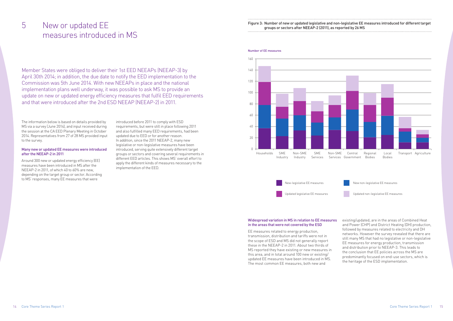The information below is based on details provided by MS via a survey (June 2014), and input received during the session at the CA EED Plenary Meeting in October 2014. Representatives from 27 of 28 MS provided input to the survey.

### Many new or updated EE measures were introduced after the NEEAP-2 in 2011

Around 300 new or updated energy efficiency (EE) measures have been introduced in MS after the NEEAP-2 in 2011, of which 40 to 60% are new, depending on the target group or sector. According to MS' responses, many EE measures that were

# Figure 3: Number of new or updated legislative and non-legislative EE measures introduced for different target<br>groups or sectors after NEEAP-2 (2011), as reported by 26 MS measures introduced in MS

# groups or sectors after NEEAP-2 (2011), as report

introduced before 2011 to comply with ESD requirements, but were still in place following 2011 and also fulfilled many EED requirements, had been updated due to EED or for another reason. In addition, since the 2011 NEEAP-2, many new legislative or non-legislative measures have been introduced, serving quite extensively different target groups or sectors and covering several requirements in different EED articles. This shows MS' overall effort to apply the different kinds of measures necessary to the implementation of the EED.

Member States were obliged to deliver their 1st EED NEEAPs (NEEAP-3) by April 30th 2014; in addition, the due date to notify the EED implementation to the Commission was 5th June 2014. With new NEEAPs in place and the national implementation plans well underway, it was possible to ask MS to provide an update on new or updated energy efficiency measures that fulfil EED requirements and that were introduced after the 2nd ESD NEEAP (NEEAP-2) in 2011.

#### Number of EE measures



### New-legislative EE measures

Updated legislative EE measures

New non-legislative EE measures



#### Widespread variation in MS in relation to EE measures in the areas that were not covered by the ESD

EE measures related to energy production, transmission, distribution and tariffs were not in the scope of ESD and MS did not generally report these in the NEEAP-2 in 2011. About two thirds of MS reported they have existing or new measures in this area, and in total around 100 new or existing/ updated EE measures have been introduced in MS. The most common EE measures, both new and

| egislative EE measures introduced for different target |  |
|--------------------------------------------------------|--|
| rted by 26 MS                                          |  |
|                                                        |  |

existing/updated, are in the areas of Combined Heat and Power (CHP) and District Heating (DH) production, followed by measures related to electricity and DH networks. However the survey revealed that there are still many MS that had no legislative or non-legislative EE measures for energy production, transmission and distribution prior to NEEAP-3. This leads to the conclusion that EE policies across the MS are predominantly focused on end-use sectors, which is the heritage of the ESD implementation.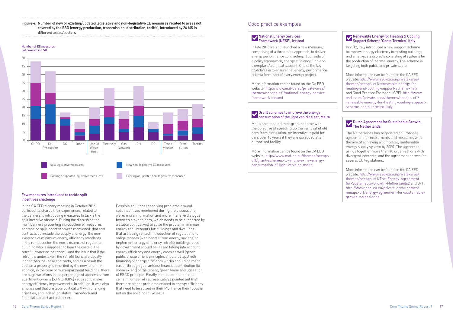### Figure 4: Number of new or existing/updated legislative and non-legislative EE measures related to areas not covered by the ESD (energy production, transmission, distribution, tariffs), introduced by 26 MS in different areas/sectors

### Few measures introduced to tackle split incentives challenge

In the CA EED plenary meeting in October 2014, participants shared their experiences related to the barriers to introducing measures to tackle the split incentive obstacle. During the discussion the main barriers preventing introduction of measures addressing split incentives were mentioned: that rent contracts do include the supply of energy; the nonexistence of minimum energy efficiency standards in the rental sector; the non-existence of regulation outlining who is supposed to bear the costs of the retrofit (owner or the tenant); and the issue that if the retrofit is undertaken, the retrofit loans are usually longer than the lease contracts, and as a result the debt on a property is inherited by the new tenant. In addition, in the case of multi-apartment buildings, there are huge variations in the percentage of approvals from apartment owners (50% to 100%) required to make energy efficiency improvements. In addition, it was also emphasised that unstable political will with changing priorities, and lack of legislative framework and financial support act as barriers.

The Netherlands has negotiated an umbrella agreement for instruments and measures with the aim of achieving a completely sustainable energy supply system by 2050. The agreement brings together more than 40 organisations with divergent interests, and the agreement serves for several EU legislations.

Possible solutions for solving problems around split incentives mentioned during the discussions were: more information and more intensive dialogue between stakeholders, which needs to be supported by a stable political will to solve the problem; minimum energy requirements for buildings and dwellings that are being rented; introduction of regulations to oblige tenants (who benefit from energy savings) to implement energy efficiency retrofit; buildings used by government should be leased taking into account energy efficiency and energy costs as well (green public procurement principles should be applied); financing of energy efficiency works should be made easier through guarantees; financial contribution (to some extent) of the tenant; green lease and utilisation of ESCO principle. Finally, it must be noted that a certain number of representatives pointed out that there are bigger problems related to energy efficiency that need to be solved in their MS, hence their focus is not on the split incentive issue.



#### Number of EE measures not covered in ESD

## Good practice examples

### National Energy Services Framework (NESF), Ireland

In late 2013 Ireland launched a new measure, comprising of a three-step approach, to deliver energy performance contracting. It consists of a policy framework, energy efficiency fund and exemplars/technical support. One of the key objectives is to ensure that energy performance criteria form part of every energy project.

More information can be found on the CA EED website: [http://www.esd-ca.eu/private-area/](http://www.esd-ca.eu/private-area/themes/neeaps-ct1/national-energy-service-framework-ireland) [themes/neeaps-ct1/national-energy-service](http://www.esd-ca.eu/private-area/themes/neeaps-ct1/national-energy-service-framework-ireland)[framework-ireland](http://www.esd-ca.eu/private-area/themes/neeaps-ct1/national-energy-service-framework-ireland)

### Grant schemes to improve the energy consumption of the light vehicle fleet, Malta

Malta has updated their grant scheme with the objective of speeding up the removal of old cars from circulation. An incentive is paid for cars over 10 years if they are scrapped at an authorised facility.

More information can be found on the CA EED website: [http://www.esd-ca.eu/themes/neeaps](http://www.esd-ca.eu/themes/neeaps-ct1/grant-schemes-to-improve-the-energy-consumption-of-light-vehicles-malta)[ct1/grant-schemes-to-improve-the-energy](http://www.esd-ca.eu/themes/neeaps-ct1/grant-schemes-to-improve-the-energy-consumption-of-light-vehicles-malta)[consumption-of-light-vehicles-malta](http://www.esd-ca.eu/themes/neeaps-ct1/grant-schemes-to-improve-the-energy-consumption-of-light-vehicles-malta)

### Dutch Agreement for Sustainable Growth, The Netherlands

More information can be found on the CA EED website: [http://www.esd-ca.eu/private-area/](http://www.esd-ca.eu/private-area/themes/neeaps-ct1/The-Energy-Agreement-for-Sustainable-Growth-Netherlands2) [themes/neeaps-ct1/The-Energy-Agreement](http://www.esd-ca.eu/private-area/themes/neeaps-ct1/The-Energy-Agreement-for-Sustainable-Growth-Netherlands2)[for-Sustainable-Growth-Netherlands2](http://www.esd-ca.eu/private-area/themes/neeaps-ct1/The-Energy-Agreement-for-Sustainable-Growth-Netherlands2) and GPF: [http://www.esd-ca.eu/private-area/themes/](http://www.esd-ca.eu/private-area/themes/neeaps-ct1/energy-agreement-for-sustainable-growth-netherlands) [neeaps-ct1/energy-agreement-for-sustainable](http://www.esd-ca.eu/private-area/themes/neeaps-ct1/energy-agreement-for-sustainable-growth-netherlands)[growth-netherlands](http://www.esd-ca.eu/private-area/themes/neeaps-ct1/energy-agreement-for-sustainable-growth-netherlands)

### Renewable Energy for Heating & Cooling Support Scheme 'Conto Termico', Italy

In 2012, Italy introduced a new support scheme to improve energy efficiency in existing buildings and small-scale projects consisting of systems for the production of thermal energy. The scheme is targeting both public and private sector.

More information can be found on the CA EED website: [http://www.esd-ca.eu/private-area/](http://www.esd-ca.eu/private-area/themes/neeaps-ct1/renewable-energy-for-heating-and-cooling-support-scheme-italy) [themes/neeaps-ct1/renewable-energy-for](http://www.esd-ca.eu/private-area/themes/neeaps-ct1/renewable-energy-for-heating-and-cooling-support-scheme-italy)[heating-and-cooling-support-scheme-italy](http://www.esd-ca.eu/private-area/themes/neeaps-ct1/renewable-energy-for-heating-and-cooling-support-scheme-italy) and Good Practice Factsheet (GPF): [http://www.](http://www.esd-ca.eu/private-area/themes/neeaps-ct1/renewable-energy-for-heating-cooling-support-scheme-conto-termico-italy) [esd-ca.eu/private-area/themes/neeaps-ct1/](http://www.esd-ca.eu/private-area/themes/neeaps-ct1/renewable-energy-for-heating-cooling-support-scheme-conto-termico-italy) [renewable-energy-for-heating-cooling-support](http://www.esd-ca.eu/private-area/themes/neeaps-ct1/renewable-energy-for-heating-cooling-support-scheme-conto-termico-italy)[scheme-conto-termico-italy](http://www.esd-ca.eu/private-area/themes/neeaps-ct1/renewable-energy-for-heating-cooling-support-scheme-conto-termico-italy)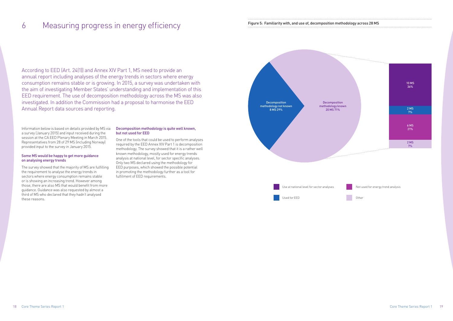18 Core Theme Series Report 1 Core Theme Series Report 1 19

Information below is based on details provided by MS via a survey (January 2015) and input received during the session at the CA EED Plenary Meeting in March 2015. Representatives from 28 of 29 MS (including Norway) provided input to the survey in January 2015.

### Some MS would be happy to get more guidance on analysing energy trends

The survey showed that the majority of MS are fulfilling the requirement to analyse the energy trends in sectors where energy consumption remains stable or is showing an increasing trend. However among those, there are also MS that would benefit from more guidance. Guidance was also requested by almost a third of MS who declared that they hadn't analysed these reasons.

### Decomposition methodology is quite well known, but not used for EED

One of the tools that could be used to perform analyses required by the EED Annex XIV Part 1 is decomposition methodology. The survey showed that it is a rather well known methodology, mostly used for energy trends analysis at national level, for sector specific analyses. Only two MS declared using the methodology for EED purposes, which showed the possible potential in promoting the methodology further as a tool for fulfilment of EED requirements.

According to EED (Art. 24(1)) and Annex XIV Part 1, MS need to provide an annual report including analyses of the energy trends in sectors where energy consumption remains stable or is growing. In 2015, a survey was undertaken with the aim of investigating Member States' understanding and implementation of this EED requirement. The use of decomposition methodology across the MS was also investigated. In addition the Commission had a proposal to harmonise the EED Annual Report data sources and reporting.

# 6 Measuring progress in energy efficiency Figure 5: Familiarity with, and use of, decomposition methodology across 28 MS MS and use of, decomposition methodology across 28 MS and use of accomposition methodology across 28

Used for EED



| odology across 28 MS |  |  |
|----------------------|--|--|
|                      |  |  |

Other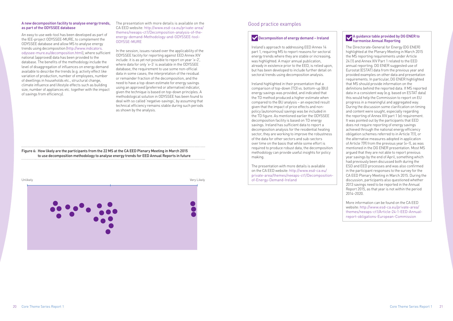Figure 6: How likely are the participants from the 22 MS at the CA EED Plenary Meeting in March 2015 to use decomposition methodology to analyse energy trends for EED Annual Reports in future

### A new decomposition facility to analyse energy trends, as part of the ODYSSEE database

An easy to use web-tool has been developed as part of the IEE-project ODYSSEE-MURE, to complement the ODYSSEE database and allow MS to analyse energy trends using decomposition ([http://www.indicators.](http://www.indicators.odyssee-mure.eu/decomposition.html) [odyssee-mure.eu/decomposition.html](http://www.indicators.odyssee-mure.eu/decomposition.html)), where sufficient national (approved) data has been provided to the database. The benefits of the methodology include the level of disaggregation of influences on energy demand available to describe the trends (e.g. activity effect like variation of production, number of employees, number of dwellings in households etc., structural change, climate influence and lifestyle effects such as building size, number of appliances etc. together with the impact of savings from efficiency).

The presentation with more details is available on the CA EED website: [http://www.esd-ca.eu/private-area/](http://www.esd-ca.eu/private-area/themes/neeaps-ct1/Decomposition-analysis-of-the-energy-demand-Methodology-and-ODYSSEE-tool-ODYSSE-MURE) [themes/neeaps-ct1/Decomposition-analysis-of-the](http://www.esd-ca.eu/private-area/themes/neeaps-ct1/Decomposition-analysis-of-the-energy-demand-Methodology-and-ODYSSEE-tool-ODYSSE-MURE)[energy-demand-Methodology-and-ODYSSEE-tool-](http://www.esd-ca.eu/private-area/themes/neeaps-ct1/Decomposition-analysis-of-the-energy-demand-Methodology-and-ODYSSEE-tool-ODYSSE-MURE)[ODYSSE-MURE](http://www.esd-ca.eu/private-area/themes/neeaps-ct1/Decomposition-analysis-of-the-energy-demand-Methodology-and-ODYSSEE-tool-ODYSSE-MURE)

In the session, issues raised over the applicability of the ODYSSEE facility for reporting against EED Annex XIV include: it is as yet not possible to report on year 'x–2', where data for only 'x–3' is available in the ODYSSEE database; the requirement to use some non-official data in some cases; the interpretation of the residual or remainder fraction of the decomposition, and the need to have a top-down estimate for energy savings using an approved (preferred or alternative) indicator, given the technique is based on top-down principles. A methodological solution in ODYSSEE has been found to deal with so called 'negative-savings', by assuming that technical efficiency remains stable during such periods as shown by the analysis.



### Good practice examples

### Decomposition of energy demand - Ireland

Ireland's approach to addressing EED Annex 14 part 1, requiring MS to report reasons for sectoral energy trends where they are stable or increasing, was highlighted. A major annual publication, already in existence prior to the EED, is relied upon, but has been developed to include further detail on sectoral trends using decomposition analysis.

Ireland highlighted in their presentation that a comparison of top-down (TD) vs. bottom-up (BU) energy savings was provided, and indicated that the TD method produced a higher estimate when compared to the BU analysis – an expected result given that the impact of price effects and nonpolicy (autonomous) savings was be included in the TD figure. As mentioned earlier the ODYSSEE decomposition facility is based on TD energy savings. Ireland has sufficient data to report a decomposition analysis for the residential heating sector; they are working to improve the robustness of the data for other sectors and sub-sectors over time on the basis that while some effort is required to produce robust data, the decomposition methodology can provide useful insights for policy making.

The presentation with more details is available on the CA EED website: [http://www.esd-ca.eu/](http://www.esd-ca.eu/private-area/themes/neeaps-ct1/Decomposition-of-Energy-Demand-Ireland) [private-area/themes/neeaps-ct1/Decomposition](http://www.esd-ca.eu/private-area/themes/neeaps-ct1/Decomposition-of-Energy-Demand-Ireland)[of-Energy-Demand-Ireland](http://www.esd-ca.eu/private-area/themes/neeaps-ct1/Decomposition-of-Energy-Demand-Ireland)

### A guidance table provided by DG ENER to harmonise Annual Reporting

The Directorate-General for Energy (DG ENER) highlighted at the Plenary Meeting in March 2015 the MS reporting requirements under Article 24 (1) and Annex XIV Part 1 related to the EED annual reporting. DG ENER suggested use of Eurostat (ESTAT) data from the previous year and provided examples on other data and presentation requirements. In particular, DG ENER highlighted that MS should provide information on the definitions behind the reported data. If MS reported data in a consistent way (e.g. based on ESTAT data) this would help the Commission to report on EU progress in a meaningful and aggregated way. During the discussion some clarification on timing and content were sought, especially regarding the reporting of Annex XIV part 1 (e) requirement. It was pointed out by the participants that EED does not require reporting of energy savings achieved through the national energy efficiency obligation schemes referred to in Article 7(1), or the alternative measures adopted in application of Article 7(9) from the previous year (x–1), as was mentioned in the DG ENER presentation. Most MS argued that they are not able to report previous year savings by the end of April, something which had previously been discussed both during the ESD and EED processes and was also confirmed in the participant responses to the survey for the CA EED Plenary Meeting in March 2015. During the discussion, participants also questioned whether 2013 savings need to be reported in the Annual Report 2015, as that year is not within the period 2014–2020.

More information can be found on the CA EED website: [http://www.esd-ca.eu/private-area/](http://www.esd-ca.eu/private-area/themes/neeaps-ct1/Article-24-1-EED-Annual-report-obligations-European-Commission) [themes/neeaps-ct1/Article-24-1-EED-Annual](http://www.esd-ca.eu/private-area/themes/neeaps-ct1/Article-24-1-EED-Annual-report-obligations-European-Commission)[report-obligations-European-Commission](http://www.esd-ca.eu/private-area/themes/neeaps-ct1/Article-24-1-EED-Annual-report-obligations-European-Commission)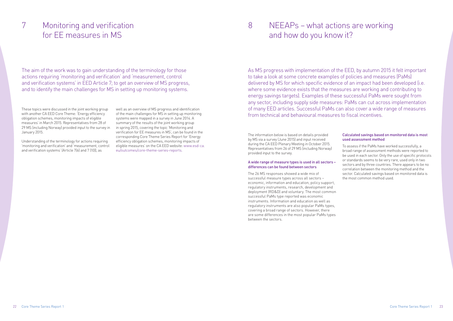These topics were discussed in the joint working group with another CA EED Core Theme: 'Energy efficiency obligation schemes, monitoring impacts of eligible measures' in March 2015. Representatives from 28 of 29 MS (including Norway) provided input to the survey in January 2015.

Understanding of the terminology for actions requiring 'monitoring and verification' and 'measurement, control and verification systems' (Article 7(6) and 7 (10)), as

well as an overview of MS progress and identification of the main challenges for MS in setting up monitoring systems were mapped in a survey in June 2014. A summary of the results of the joint working group in spring 2015, covering the topic 'Monitoring and verification for EE measures in MS', can be found in the corresponding Core Theme Series Report for 'Energy efficiency obligation schemes, monitoring impacts of eligible measures' on the CA EED website: [www.esd-ca.](http://www.esd-ca.eu/outcomes/core-theme-series-reports) [eu/outcomes/core-theme-series-reports](http://www.esd-ca.eu/outcomes/core-theme-series-reports).

The information below is based on details provided by MS via a survey (June 2015) and input received during the CA EED Plenary Meeting in October 2015. Representatives from 26 of 29 MS (including Norway) provided input to the survey.

### A wide range of measure types is used in all sectors – differences can be found between sectors

The aim of the work was to gain understanding of the terminology for those actions requiring 'monitoring and verification' and 'measurement, control and verification systems' in EED Article 7; to get an overview of MS progress, and to identify the main challenges for MS in setting up monitoring systems.

> The 26 MS responses showed a wide mix of successful measure types across all sectors – economic, information and education, policy support, regulatory instruments, research, development and deployment (RD&D) and voluntary. The most common successful PaMs type reported was economic instruments. Information and education as well as regulatory instruments are also popular PaMs types, covering a broad range of sectors. However, there are some differences in the most popular PaMs types between the sectors.

### Calculated savings based on monitored data is most used assessment method

To assess if the PaMs have worked successfully, a broad range of assessment methods were reported to be used in each sector. Only the use of specific protocols or standards seems to be very rare, used only in two sectors and by three countries. There appears to be no correlation between the monitoring method and the sector. Calculated savings based on monitored data is the most common method used.

As MS progress with implementation of the EED, by autumn 2015 it felt important to take a look at some concrete examples of policies and measures (PaMs) delivered by MS for which specific evidence of an impact had been developed (i.e. where some evidence exists that the measures are working and contributing to energy savings targets). Examples of these successful PaMs were sought from any sector, including supply side measures: PaMs can cut across implementation of many EED articles. Successful PaMs can also cover a wide range of measures from technical and behavioural measures to fiscal incentives.

# Monitoring and verification 7 8for EE measures in MS

# NEEAPs – what actions are working and how do you know it?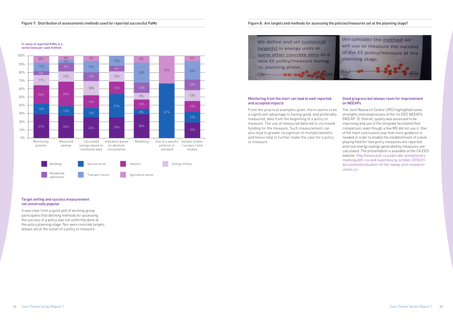#### Figure 7: Distribution of assessments methods used for reported successful PaMs Figure 8: Are targets and methods for assessing the policies/measures set at the planning stage?

%-value of reported PaMs in a sector/area per used method

### Target setting and success measurement not universally popular

It was clear from a quick poll of working group participants that defining methods for assessing the success of a policy was not uniformly done at the policy planning stage. Nor were concrete targets always set at the outset of a policy or measure.



### Monitoring from the start can lead to well reported and accepted impacts

From the practical examples given, there seems to be a significant advantage to having good, and preferably measured, data from the beginning of a policy or measure. The use of measured data led to increased funding for the measure. Such measurement can also lead to greater recognition of multiple benefits and hence help to further make the case for a policy or measure.



# We define and set numerical

target(s) in energy units or some other concrete aims to a new EE policy/measure during its planning phase. **SELIAM** 

### Good progress but always room for improvement on NEEAPs

The Joint Research Centre (JRC) highlighted some strengths and weaknesses of the 1st EED NEEAPs (NEEAP-3). Overall, quality was assessed to be improving and use of the template facilitated their comparison, even though a few MS did not use it. One of the main conclusions was that more guidance is needed in order to enable the establishment of a level playing field for how policy measures are reported and how energy savings generated by measures are calculated. The presentation is available at the CA EED website: http://www.esd-ca.eu/private-area/plenarymeetings/6th-ca-eed-luxembourg-october-2015/ct1 documents/evaluation-of-the-neeap-joint-researchcentre-jrc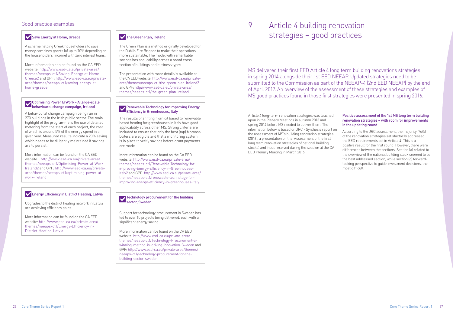Article 4 long-term renovation strategies was touched upon in the Plenary Meetings in autumn 2013 and spring 2014 before MS needed to deliver them. The information below is based on [JRC - Synthesis report on](http://iet.jrc.ec.europa.eu/energyefficiency/system/tdf/syntesis_report_building_renovation_strategies_online_fin.pdf?file=1&type=node&id=9117)  [the assessment of MS's building renovation strategies](http://iet.jrc.ec.europa.eu/energyefficiency/system/tdf/syntesis_report_building_renovation_strategies_online_fin.pdf?file=1&type=node&id=9117) (2016), a presentation on the ['Assessment of the first](http://www.esd-ca.eu/private-area/plenary-meetings/7th-ca-eed-the-hague-march-2016/ct1-documents/assessment-of-the-first-long-term-renovation-strategies-of-national-building-stocks-jrc)  [long term renovation strategies of national building](http://www.esd-ca.eu/private-area/plenary-meetings/7th-ca-eed-the-hague-march-2016/ct1-documents/assessment-of-the-first-long-term-renovation-strategies-of-national-building-stocks-jrc)  [stocks'](http://www.esd-ca.eu/private-area/plenary-meetings/7th-ca-eed-the-hague-march-2016/ct1-documents/assessment-of-the-first-long-term-renovation-strategies-of-national-building-stocks-jrc) and input received during the session at the CA EED Plenary Meeting in March 2016.

### Positive assessment of the 1st MS long term building renovation strategies – with room for improvements in the updating round

According to the JRC assessment, the majority (74%) of the renovation strategies satisfactorily addressed the EED requirements set in Article 4. This is a positive result for the first round. However, there were differences between the sections. Section (a) related to the overview of the national building stock seemed to be the best addressed section, while section (d) forwardlooking perspective to guide investment decisions, the most difficult.

MS delivered their first EED Article 4 long term building renovations strategies in spring 2014 alongside their 1st EED NEEAP. Updated strategies need to be submitted to the Commission as part of the NEEAP-4 (2nd EED NEEAP) by the end of April 2017. An overview of the assessment of these strategies and examples of MS good practices found in those first strategies were presented in spring 2016.

# Article 4 building renovation strategies – good practices

# 9 Good practice examples

## Save Energy at Home, Greece

Upgrades to the district heating network in Latvia are achieving efficiency gains.

More information can be found on the CA EED website: [http://www.esd-ca.eu/private-area/](http://www.esd-ca.eu/private-area/themes/neeaps-ct1/Energy-Efficiency-in-District-Heating-Latvia) [themes/neeaps-ct1/Energy-Efficiency-in-](http://www.esd-ca.eu/private-area/themes/neeaps-ct1/Energy-Efficiency-in-District-Heating-Latvia)[District-Heating-Latvia](http://www.esd-ca.eu/private-area/themes/neeaps-ct1/Energy-Efficiency-in-District-Heating-Latvia)

### The Green Plan, Ireland

### Technology procurement for the building sector, Sweden

Support for technology procurement in Sweden has led to over 60 projects being delivered, each with a significant energy saving.

More information can be found on the CA EED website: [http://www.esd-ca.eu/private-area/](http://www.esd-ca.eu/private-area/themes/neeaps-ct1/Technology-Procurement-a-winning-method-in-driving-innovation-Sweden) [themes/neeaps-ct1/Technology-Procurement-a](http://www.esd-ca.eu/private-area/themes/neeaps-ct1/Technology-Procurement-a-winning-method-in-driving-innovation-Sweden)[winning-method-in-driving-innovation-Sweden](http://www.esd-ca.eu/private-area/themes/neeaps-ct1/Technology-Procurement-a-winning-method-in-driving-innovation-Sweden) and GPF: [http://www.esd-ca.eu/private-area/themes/](http://www.esd-ca.eu/private-area/themes/neeaps-ct1/technology-procurement-for-the-building-sector-sweden) [neeaps-ct1/technology-procurement-for-the](http://www.esd-ca.eu/private-area/themes/neeaps-ct1/technology-procurement-for-the-building-sector-sweden)[building-sector-sweden](http://www.esd-ca.eu/private-area/themes/neeaps-ct1/technology-procurement-for-the-building-sector-sweden)

A scheme helping Greek householders to save money combines grants (of up to 70% depending on the householders' income) with zero interest loans.

More information can be found on the CA EED website: [http://www.esd-ca.eu/private-area/](http://www.esd-ca.eu/private-area/themes/neeaps-ct1/Saving-Energy-at-Home-Greece2) [themes/neeaps-ct1/Saving-Energy-at-Home-](http://www.esd-ca.eu/private-area/themes/neeaps-ct1/Saving-Energy-at-Home-Greece2)[Greece2](http://www.esd-ca.eu/private-area/themes/neeaps-ct1/Saving-Energy-at-Home-Greece2) and GPF: [http://www.esd-ca.eu/private](http://www.esd-ca.eu/private-area/themes/neeaps-ct1/saving-energy-at-home-greece)[area/themes/neeaps-ct1/saving-energy-at](http://www.esd-ca.eu/private-area/themes/neeaps-ct1/saving-energy-at-home-greece)[home-greece](http://www.esd-ca.eu/private-area/themes/neeaps-ct1/saving-energy-at-home-greece)

### Optimising Power @ Work - A large-scale behavioural change campaign, Ireland

A behavioural change campaign being run in 270 buildings in the Irish public sector. The main highlight of the programme is the use of detailed metering from the start of each project, the cost of which is around 5% of the energy spend in a given year. Measured results indicate a 20% saving which needs to be diligently maintained if savings are to persist.

More information can be found on the CA EED website: : [http://www.esd-ca.eu/private-area/](http://www.esd-ca.eu/private-area/themes/neeaps-ct1/Optimising-Power-at-Work-Ireland2) [themes/neeaps-ct1/Optimising-Power-at-Work-](http://www.esd-ca.eu/private-area/themes/neeaps-ct1/Optimising-Power-at-Work-Ireland2)[Ireland2](http://www.esd-ca.eu/private-area/themes/neeaps-ct1/Optimising-Power-at-Work-Ireland2) and GPF: [http://www.esd-ca.eu/private](http://www.esd-ca.eu/private-area/themes/neeaps-ct1/optimising-power-at-work-ireland)[area/themes/neeaps-ct1/optimising-power-at](http://www.esd-ca.eu/private-area/themes/neeaps-ct1/optimising-power-at-work-ireland)[work-ireland](http://www.esd-ca.eu/private-area/themes/neeaps-ct1/optimising-power-at-work-ireland)

### **Energy Efficiency in District Heating, Latvia**

The Green Plan is a method originally developed for the Dublin Fire Brigade to make their operations more sustainable. The model with remarkable savings has applicability across a broad cross section of buildings and business types.

The presentation with more details is available at the CA EED website: [http://www.esd-ca.eu/private](http://www.esd-ca.eu/private-area/themes/neeaps-ct1/the-green-plan-ireland2)[area/themes/neeaps-ct1/the-green-plan-ireland2](http://www.esd-ca.eu/private-area/themes/neeaps-ct1/the-green-plan-ireland2) and GPF: [http://www.esd-ca.eu/private-area/](http://www.esd-ca.eu/private-area/themes/neeaps-ct1/the-green-plan-ireland) [themes/neeaps-ct1/the-green-plan-ireland](http://www.esd-ca.eu/private-area/themes/neeaps-ct1/the-green-plan-ireland)

### Renewable Technology for improving Energy Efficiency in Greenhouses, Italy

The results of shifting from oil based to renewable based heating for greenhouses in Italy have good applicability across other MS. Strong criteria are included to ensure that only the best (top) biomass boilers are eligible and that a monitoring system is in place to verify savings before grant payments are made.

More information can be found on the CA EED website: [http://www.esd-ca.eu/private-area/](http://www.esd-ca.eu/private-area/themes/neeaps-ct1/Renewable-Technology-for-improving-Energy-Efficiency-in-Greenhouses-Italy2) [themes/neeaps-ct1/Renewable-Technology-for](http://www.esd-ca.eu/private-area/themes/neeaps-ct1/Renewable-Technology-for-improving-Energy-Efficiency-in-Greenhouses-Italy2)[improving-Energy-Efficiency-in-Greenhouses-](http://www.esd-ca.eu/private-area/themes/neeaps-ct1/Renewable-Technology-for-improving-Energy-Efficiency-in-Greenhouses-Italy2)[Italy2](http://www.esd-ca.eu/private-area/themes/neeaps-ct1/Renewable-Technology-for-improving-Energy-Efficiency-in-Greenhouses-Italy2) and GPF: [http://www.esd-ca.eu/private-area/](http://www.esd-ca.eu/private-area/themes/neeaps-ct1/renewable-technology-for-improving-energy-efficiency-in-greenhouses-italy) [themes/neeaps-ct1/renewable-technology-for](http://www.esd-ca.eu/private-area/themes/neeaps-ct1/renewable-technology-for-improving-energy-efficiency-in-greenhouses-italy)[improving-energy-efficiency-in-greenhouses-italy](http://www.esd-ca.eu/private-area/themes/neeaps-ct1/renewable-technology-for-improving-energy-efficiency-in-greenhouses-italy)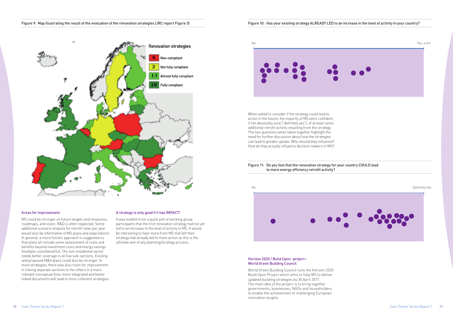

#### Areas for improvement

MS could be stronger on future targets and measures, roadmaps, and vision. R&D is often neglected. Some additional scenario analysis for retrofit rates per year would also be informative of MS plans and expectations. In general, a more holistic approach is suggested so that plans all include some assessment of costs and benefits beyond investment costs and energy savings (multiple costs/benefits). The non-residential sector needs better coverage in all five sub-sections. Existing and proposed M&V plans could also be stronger. In most strategies, there was also room for improvement in linking separate sections to the others in a more relevant conceptual flow: more integrated and better linked documents will lead to more coherent strategies.



### A strategy is only good if it has IMPACT!

It was evident from a quick poll of working group participants that the first renovation strategy had not yet led to an increase in the level of activity in MS. It would be interesting to hear more from MS that felt their strategy had already led to more action as this is the ultimate aim of any planning/strategy process.

### Horizon 2020 / Build Upon -project – World Green Building Council

World Green Building Council runs the Horizon 2020 [Build Upon Project](http://www.esd-ca.eu/private-area/plenary-meetings/7th-ca-eed-the-hague-march-2016/ct1-documents/build-upon-project-james-drinkwater-world-green-building-council) which aims to help MS to deliver updated building strategies by 30 April 2017. The main idea of the project is to bring together governments, businesses, NGOs and householders to enable the achievement of challenging European renovation targets.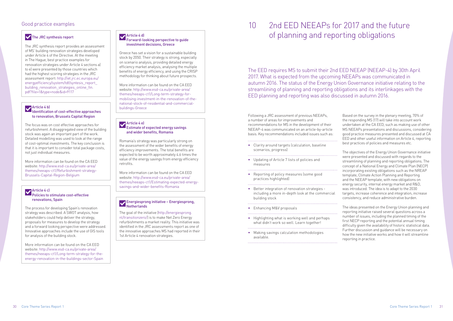## Good practice examples

### The JRC synthesis report

The JRC synthesis report provides an assessment of MS' building renovation strategies developed under Article 4 of the Directive. At the meeting in The Hague, best practice examples for renovation strategies under Article 4 sections a) to e) were presented by those countries which had the highest scoring strategies in the [JRC](http://iet.jrc.ec.europa.eu/energyefficiency/system/tdf/syntesis_report_building_renovation_strategies_online_fin.pdf?file=1&type=node&id=9117)  [assessment report](http://iet.jrc.ec.europa.eu/energyefficiency/system/tdf/syntesis_report_building_renovation_strategies_online_fin.pdf?file=1&type=node&id=9117): [http://iet.jrc.ec.europa.eu/](http://iet.jrc.ec.europa.eu/energyefficiency/system/tdf/syntesis_report_building_renovation_strategies_online_fin.pdf?file=1&type=node&id=9117) [energyefficiency/system/tdf/syntesis\\_report\\_](http://iet.jrc.ec.europa.eu/energyefficiency/system/tdf/syntesis_report_building_renovation_strategies_online_fin.pdf?file=1&type=node&id=9117) building renovation strategies online fin. [pdf?file=1&type=node&id=9117](http://iet.jrc.ec.europa.eu/energyefficiency/system/tdf/syntesis_report_building_renovation_strategies_online_fin.pdf?file=1&type=node&id=9117)

### Article 4 b)

### Identification of cost-effective approaches to renovation, Brussels Capital Region

The focus was on cost effective approaches for refurbishment. A disaggregated view of the building stock was again an important part of the work. Detailed modelling was used to look at the range of cost-optimal investments. The key conclusion is that it is important to consider total package costs, not just individual measures.

More information can be found on the CA EED website: [http://www.esd-ca.eu/private-area/](http://www.esd-ca.eu/private-area/themes/neeaps-ct1/Refurbishment-strategy-Brussels-Capital-Region-Belgium) [themes/neeaps-ct1/Refurbishment-strategy-](http://www.esd-ca.eu/private-area/themes/neeaps-ct1/Refurbishment-strategy-Brussels-Capital-Region-Belgium)[Brussels-Capital-Region-Belgium](http://www.esd-ca.eu/private-area/themes/neeaps-ct1/Refurbishment-strategy-Brussels-Capital-Region-Belgium)

### Article 4 c) Policies to stimulate cost-effective renovations, Spain

The process for developing Spain's renovation strategy was described. A SWOT analysis, how stakeholders could help deliver the strategy, proposals for measures to develop the strategy and a forward looking perspective were addressed. Innovative approaches include the use of GIS tools for analysis of the building stock.

### Energiesprong initiative – Energiesprong, **Netherlands**

More information can be found on the CA EED website: [http://www.esd-ca.eu/private-area/](http://www.esd-ca.eu/private-area/themes/neeaps-ct1/Long-term-strategy-for-the-energy-renovation-in-the-buildings-sector-Spain) [themes/neeaps-ct1/Long-term-strategy-for-the](http://www.esd-ca.eu/private-area/themes/neeaps-ct1/Long-term-strategy-for-the-energy-renovation-in-the-buildings-sector-Spain)[energy-renovation-in-the-buildings-sector-Spain](http://www.esd-ca.eu/private-area/themes/neeaps-ct1/Long-term-strategy-for-the-energy-renovation-in-the-buildings-sector-Spain)

## Article 4 d)

#### Forward-looking perspective to guide investment decisions, Greece

Greece has set a vision for a sustainable building stock by 2050. Their strategy is strong, especially on scenario analysis, providing detailed energy efficiency market analysis, analysing the multiple benefits of energy efficiency, and using the CRISP methodology for thinking about future prospects.

More information can be found on the CA EED website: [http://www.esd-ca.eu/private-area/](http://www.esd-ca.eu/private-area/themes/neeaps-ct1/Long-term-strategy-for-mobilising-investment-in-the-renovation-of-the-national-stock-of-residential-and-commercial-buildings-Greece) [themes/neeaps-ct1/Long-term-strategy-for](http://www.esd-ca.eu/private-area/themes/neeaps-ct1/Long-term-strategy-for-mobilising-investment-in-the-renovation-of-the-national-stock-of-residential-and-commercial-buildings-Greece)[mobilising-investment-in-the-renovation-of-the](http://www.esd-ca.eu/private-area/themes/neeaps-ct1/Long-term-strategy-for-mobilising-investment-in-the-renovation-of-the-national-stock-of-residential-and-commercial-buildings-Greece)[national-stock-of-residential-and-commercial](http://www.esd-ca.eu/private-area/themes/neeaps-ct1/Long-term-strategy-for-mobilising-investment-in-the-renovation-of-the-national-stock-of-residential-and-commercial-buildings-Greece)[buildings-Greece](http://www.esd-ca.eu/private-area/themes/neeaps-ct1/Long-term-strategy-for-mobilising-investment-in-the-renovation-of-the-national-stock-of-residential-and-commercial-buildings-Greece)

### Article 4 e) Estimate of expected energy savings and wider benefits, Romania

Romania's strategy was particularly strong on the assessment of the wider benefits of energy efficiency improvements. The total benefits are expected to be worth approximately 4.6 times the value of the energy savings from energy efficiency retrofits.

More information can be found on the CA EED website: [http://www.esd-ca.eu/private-area/](http://www.esd-ca.eu/private-area/themes/neeaps-ct1/Estimating-expected-energy-savings-and-wider-benefits-Romania) [themes/neeaps-ct1/Estimating-expected-energy](http://www.esd-ca.eu/private-area/themes/neeaps-ct1/Estimating-expected-energy-savings-and-wider-benefits-Romania)[savings-and-wider-benefits-Romania](http://www.esd-ca.eu/private-area/themes/neeaps-ct1/Estimating-expected-energy-savings-and-wider-benefits-Romania)

The goal of the initiative [\(http://energiesprong.](http://energiesprong.nl/transitionzero/) [nl/transitionzero/](http://energiesprong.nl/transitionzero/)) is to make Net Zero Energy refurbishments a market reality. This initiative was identified in the JRC assessments report as one of the innovative approaches MS had reported in their 1st Article 4 renovation strategies.

Following a JRC assessment of previous NEEAPs, a number of areas for improvements and recommendations for MS in the development of their NEEAP-4 was communicated on an article-by-article basis. Key recommendations included issues such as:

- Clarity around targets (calculation, baseline scenarios, progress)
- Updating of Article 7 lists of policies and measures
- Reporting of policy measures (some good practices highlighted)
- Better integration of renovation strategies including a more in-depth look at the commercial building stock

- Enhancing M&V proposals
- • Highlighting what is working well and perhaps what didn't work so well. Learn together!

• Making savings calculation methodologies available.

Based on the survey in the plenary meeting, 70% of the responding MS (17) will take into account work undertaken at the CA EED, such as making use of other MS NEEAPs presentations and discussions, considering good practice measures presented and discussed at CA EED and other useful information on Article 4, reporting best practices of policies and measures etc.

The objectives of the Energy Union Governance initiative were presented and discussed with regards to the streamlining of planning and reporting obligations. The concept of a National Energy and Climate Plan (NECP) incorporating existing obligations such as the NREAP template, Climate Action Planning and Reporting and the NEEAP template, with new obligations on energy security, internal energy market and R&D, was introduced. The idea is to adapt to the 2030 targets, increase coherence and integration, increase consistency, and reduce administrative burden.

The ideas presented on the Energy Union planning and reporting initiative raised several questions across a number of issues, including the planned timing of the first NECP reporting and the potential annual timing difficulty given the availability of historic statistical data. Further discussion and guidance will be necessary on how the new initiative works and how it will streamline reporting in practice.

The EED requires MS to submit their 2nd EED NEEAP (NEEAP-4) by 30th April 2017. What is expected from the upcoming NEEAPs was communicated in autumn 2016. The status of the Energy Union Governance initiative relating to the streamlining of planning and reporting obligations and its interlinkages with the EED planning and reporting was also discussed in autumn 2016.

## 2nd EED NEEAPs for 2017 and the future of planning and reporting obligations 10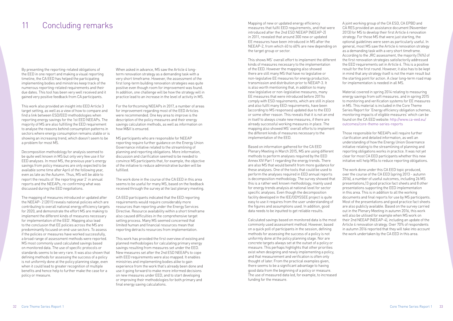By presenting the reporting-related obligations of the EED in one report and making a visual reporting timeline, the CA EED has helped the participating implementing bodies and ministries keep track of the numerous reporting-related requirements and their due dates. This tool has been very well received and it gained very positive feedback from CA participants.

This work also provided an insight into EED Article 3 target setting, as well as a view of how to compare and find a link between ESD/EED methodologies when reporting energy savings for the 1st EED NEEAPs. The majority of MS are also fulfilling the EED requirement to analyse the reasons behind consumption patterns in sectors where energy consumption remains stable or is showing an increasing trend, which doesn't seem to be a problem for most MS.

Decomposition methodology for analysis seemed to be quite well known in MS but only very few use it for EED analyses. In most MS, the previous year's energy savings from policy measures are only expected to be available some time after April of the following year, even as late as the Autumn. Thus, MS will be able to report the results of 'the reporting year 2' in annual reports and the NEEAPs, re-confirming what was discussed during the EED negotiations.

The mapping of measures introduced or updated after the NEEAP- 2 (2011) reveals national policies which are contributing to overall national energy efficiency targets for 2020, and demonstrate the effort MS are making to implement the different kinds of measures necessary for implementation of the EED'. Mapping also lead to the conclusion that EE policies across the MS are predominantly focused on end-use sectors. To assess if the policies or measures have worked successfully, a broad range of assessment methods were reported. MS most commonly used calculated savings based on monitored data. The use of specific protocols or standards seems to be very rare. It was also shown that defining methods for assessing the success of a policy is not uniformly done at the policy planning stage, even when it could lead to greater recognition of multiple benefits and hence help to further make the case for a policy or measure.

When asked in advance, MS saw the Article 4 longterm renovation strategy as a demanding task with a very short timeframe. However, the assessment of the first long-term building renovation strategies was quite positive even though room for improvement was found. In addition, one challenge will be how the strategy will in practice lead to an increase in the level of activity in MS.

For the forthcoming NEEAPs in 2017, a number of areas for improvement regarding most of the EED Articles were recommended. One key area to improve is the description of the policy measures and their energy savings calculation methods, as well as information on how M&V is ensured.

MS participants who are responsible for NEEAP reporting require further guidance on the Energy Union Governance initiative related to the streamlining of planning and reporting obligations. More information, discussion and clarification seemed to be needed to convince MS participants that, for example, the objective of the initiative to reduce administrative burden will be fulfilled.

The work done in the course of the CA EED in this area seems to be useful for many MS, based on the feedback received through the survey at the last plenary meeting.

CA EED participants indicated that the EED reporting requirements would require considerably more resources than reporting under the Energy Services Directive. Resource availability within a short timeframe also caused difficulties in the comprehensive target setting process. Many MS seemed concerned that limited human and financial resources mean that reporting detracts resources from implementation.

This work has provided the first overview of existing and planned methodologies for calculating primary energy savings resulting from measures set under the EED. New measures set after the 2nd ESD NEEAPs to cope with FFD requirements were also mapped. It enables ministries and implementing bodies alike to gain experience from the work that's already been done and use it going forward to make more informed decisions on new measures under EED, and to start developing or improving their methodologies for both primary and final energy saving calculations.

Mapping of new or updated energy efficiency measures that fulfil EED requirements, and that were introduced after the 2nd ESD NEEAP (NEEAP-2) in 2011, revealed that around 300 new or updated EE measures have been introduced in MS after the NEEAP-2, from which 40 to 60% are new depending on the target group or sector.

This shows MS' overall effort to implement the different kinds of measures necessary to the implementation of the EED. However the mapping also showed there are still many MS that have no legislative or non-legislative EE measures for energy production, transmission and distribution prior to NEEAP-3. It is also worth mentioning that, in addition to many new legislative or non-legislative measures, many EE measures that were introduced before 2011to comply with ESD requirements, which are still in place and also fulfil many EED requirements, have been (according to MS responses) updated due to the EED or some other reason. This reveals that it is not an end in itself to always create new measures, if there are already successful working measures in place. The mapping also showed MS' overall efforts to implement the different kinds of measures necessary to the implementation of the EED.

Based on information gathered for the CA EED Plenary Meeting in March 2015, MS are using different methods to perform analyses required by the EED Annex XIV Part 1 regarding the energy trends. There are also MS that would benefit from more guidance for these analyses. One of the tools that could be used to perform the analyses required in EED annual reports is decomposition methodology. The survey showed that this is a rather well known methodology, mainly used for energy trends analysis at national level for sector specific analyses. Even though the decomposition facility developed in the IEE/ODYSSEE project is quite easy to use it requires from the user understanding of the figures and assumptions used. In addition, good data needs to be inputted to get reliable results.

Calculated savings based on monitored data is the most commonly used assessment method. However, based on a quick poll of participants in the session, defining methods for assessing the success of a policy is not uniformly done at the policy planning stage. Nor are concrete targets always set at the outset of a policy or measure. This perhaps highlights that other priorities exist when designing and newly implementing a policy, and that measurement and verification is often only thought of later. From the practical examples given, there seems to be a significant advantage to having good data from the beginning of a policy or measure. The use of measured data led, for example, to increased funding for the measure.

A joint working group of the CA ESD, CA EPBD and CA RES provided an assistance document (November 2013) for MS to develop their first Article 4 renovation strategy. For those MS that were just starting, the optional guidelines were seen as particularly useful. In general, most MS saw the Article 4 renovation strategy as a demanding task with a very short timeframe. According to the JRC assessment, the majority (74%) of the first renovation strategies satisfactorily addressed the EED requirements set in Article 4. This is a positive result for the first round. However, it also has to be kept in mind that any strategy itself is not the main result but the starting point for action. A clear long-term road map for implementation is needed in all MS.

Material covered in spring 2014 relating to measuring energy savings from soft measures. and in spring 2015 to monitoring and verification systems for EE measures in MS. This material is included in the Core Theme Series Report for 'Energy efficiency obligation schemes, monitoring impacts of eligible measures' which can be found on the CA EED website: [http://www.ca-eed.eu/](http://www.ca-eed.eu/outcomes/core-theme-series-reports) [outcomes/core-theme-series-reports](http://www.ca-eed.eu/outcomes/core-theme-series-reports)

Those responsible for NEEAPs will require further clarification and detailed information, as well an understanding of how the Energy Union Governance initiative relating to the streamlining of planning and reporting obligations works in practice. It was not yet clear for most CA EED participants whether this new initiative will help MSs to reduce reporting obligations.

The work done under this CA EED topic produced, over the course of the CA EED (spring 2013 - autumn 2016), a number of useful outcomes, including 26 MS presentations,13 good practice fact sheets and 8 other presentations supporting the EED implementation in this area. This is in addition to all the working documents and final reports for use by MS participants. Most of the presentations and good practice fact sheets are also publicly available. Based on the survey carried out in the Plenary Meeting in autumn 2016, this work will also be utilised for example when MS work on their 2nd NEEAP (NEEAP-4), including an update of the Article 4 renovation strategy. Over 70% of respondents in autumn 2016 reported that they will take into account the work undertaken by the CA EED in this area.

# 11 Concluding remarks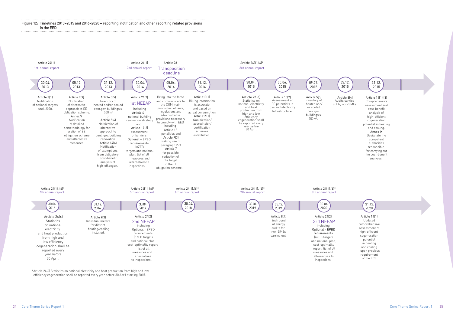Article 14(1) Updated comprehensive assessment of high-efficient cogeneration potential in heating and cooling (upon previous requirement of the EC).



\*Article 24(6) Statistics on national electricity and heat production from high and low efficiency cogeneration shall be reported every year before 30 April starting 2015.



Article 14(1),(3) Comprehensive assessment and cost-benefit analysis of high-efficient cogeneration potential in heating and cooling. Annex IX Designate the competent authorities responsible for carrying out the cost-benefit analyses.



Figure 12: Timelines 2013–2015 and 2016–2020 − reporting, notification and other reporting related provisions in the EED